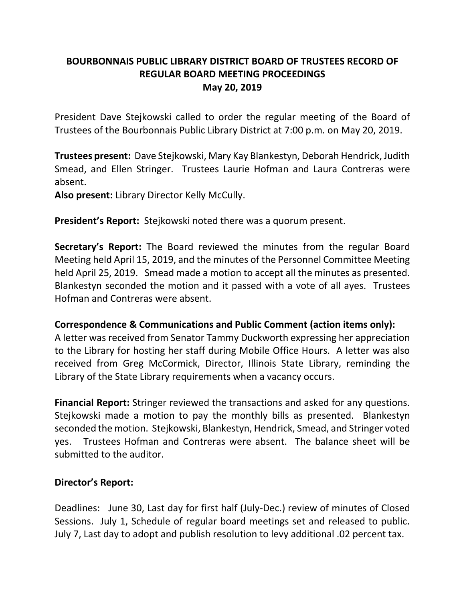# **BOURBONNAIS PUBLIC LIBRARY DISTRICT BOARD OF TRUSTEES RECORD OF REGULAR BOARD MEETING PROCEEDINGS May 20, 2019**

President Dave Stejkowski called to order the regular meeting of the Board of Trustees of the Bourbonnais Public Library District at 7:00 p.m. on May 20, 2019.

**Trustees present:** Dave Stejkowski, Mary Kay Blankestyn, Deborah Hendrick, Judith Smead, and Ellen Stringer. Trustees Laurie Hofman and Laura Contreras were absent.

**Also present:** Library Director Kelly McCully.

**President's Report:** Stejkowski noted there was a quorum present.

**Secretary's Report:** The Board reviewed the minutes from the regular Board Meeting held April 15, 2019, and the minutes of the Personnel Committee Meeting held April 25, 2019. Smead made a motion to accept all the minutes as presented. Blankestyn seconded the motion and it passed with a vote of all ayes. Trustees Hofman and Contreras were absent.

#### **Correspondence & Communications and Public Comment (action items only):**

A letter was received from Senator Tammy Duckworth expressing her appreciation to the Library for hosting her staff during Mobile Office Hours. A letter was also received from Greg McCormick, Director, Illinois State Library, reminding the Library of the State Library requirements when a vacancy occurs.

**Financial Report:** Stringer reviewed the transactions and asked for any questions. Stejkowski made a motion to pay the monthly bills as presented. Blankestyn seconded the motion. Stejkowski, Blankestyn, Hendrick, Smead, and Stringer voted yes. Trustees Hofman and Contreras were absent. The balance sheet will be submitted to the auditor.

## **Director's Report:**

Deadlines: June 30, Last day for first half (July-Dec.) review of minutes of Closed Sessions. July 1, Schedule of regular board meetings set and released to public. July 7, Last day to adopt and publish resolution to levy additional .02 percent tax.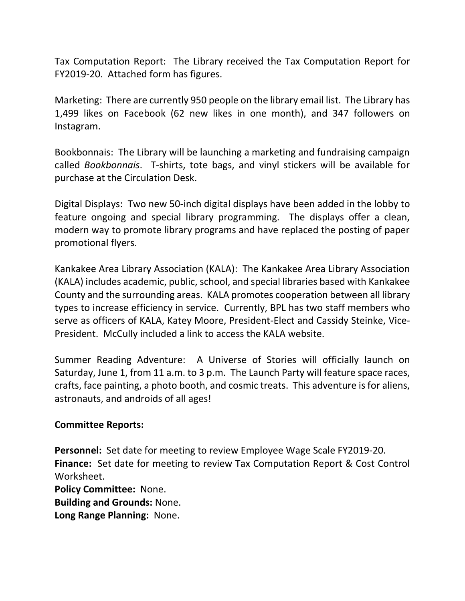Tax Computation Report: The Library received the Tax Computation Report for FY2019-20. Attached form has figures.

Marketing: There are currently 950 people on the library email list. The Library has 1,499 likes on Facebook (62 new likes in one month), and 347 followers on Instagram.

Bookbonnais: The Library will be launching a marketing and fundraising campaign called *Bookbonnais*. T-shirts, tote bags, and vinyl stickers will be available for purchase at the Circulation Desk.

Digital Displays: Two new 50-inch digital displays have been added in the lobby to feature ongoing and special library programming. The displays offer a clean, modern way to promote library programs and have replaced the posting of paper promotional flyers.

Kankakee Area Library Association (KALA): The Kankakee Area Library Association (KALA) includes academic, public, school, and special libraries based with Kankakee County and the surrounding areas. KALA promotes cooperation between all library types to increase efficiency in service. Currently, BPL has two staff members who serve as officers of KALA, Katey Moore, President-Elect and Cassidy Steinke, Vice-President. McCully included a link to access the KALA website.

Summer Reading Adventure: A Universe of Stories will officially launch on Saturday, June 1, from 11 a.m. to 3 p.m. The Launch Party will feature space races, crafts, face painting, a photo booth, and cosmic treats. This adventure is for aliens, astronauts, and androids of all ages!

#### **Committee Reports:**

**Personnel:** Set date for meeting to review Employee Wage Scale FY2019-20. **Finance:** Set date for meeting to review Tax Computation Report & Cost Control Worksheet.

**Policy Committee:** None. **Building and Grounds:** None. **Long Range Planning:** None.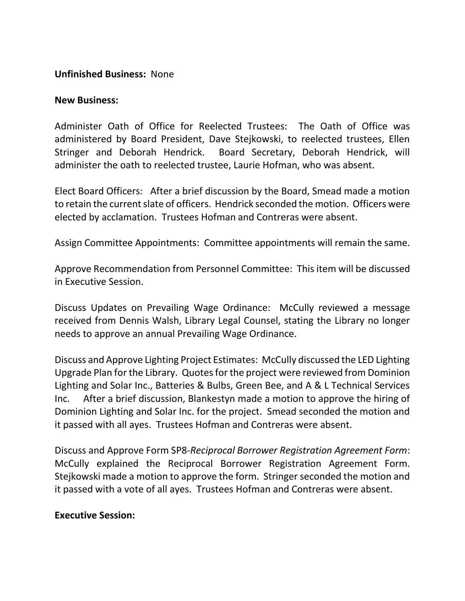### **Unfinished Business:** None

#### **New Business:**

Administer Oath of Office for Reelected Trustees: The Oath of Office was administered by Board President, Dave Stejkowski, to reelected trustees, Ellen Stringer and Deborah Hendrick. Board Secretary, Deborah Hendrick, will administer the oath to reelected trustee, Laurie Hofman, who was absent.

Elect Board Officers: After a brief discussion by the Board, Smead made a motion to retain the current slate of officers. Hendrick seconded the motion. Officers were elected by acclamation. Trustees Hofman and Contreras were absent.

Assign Committee Appointments: Committee appointments will remain the same.

Approve Recommendation from Personnel Committee: This item will be discussed in Executive Session.

Discuss Updates on Prevailing Wage Ordinance: McCully reviewed a message received from Dennis Walsh, Library Legal Counsel, stating the Library no longer needs to approve an annual Prevailing Wage Ordinance.

Discuss and Approve Lighting Project Estimates: McCully discussed the LED Lighting Upgrade Plan for the Library. Quotes for the project were reviewed from Dominion Lighting and Solar Inc., Batteries & Bulbs, Green Bee, and A & L Technical Services Inc. After a brief discussion, Blankestyn made a motion to approve the hiring of Dominion Lighting and Solar Inc. for the project. Smead seconded the motion and it passed with all ayes. Trustees Hofman and Contreras were absent.

Discuss and Approve Form SP8-*Reciprocal Borrower Registration Agreement Form*: McCully explained the Reciprocal Borrower Registration Agreement Form. Stejkowski made a motion to approve the form. Stringer seconded the motion and it passed with a vote of all ayes. Trustees Hofman and Contreras were absent.

#### **Executive Session:**